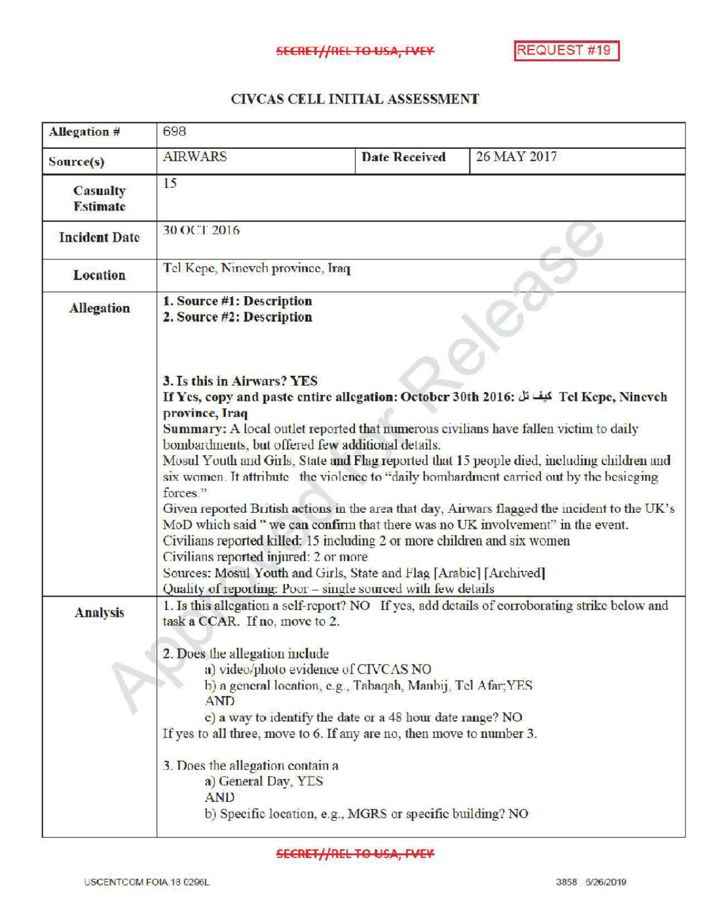## CIVCAS CELL INITIALASSESSMENT

| <b>Allegation #</b>                | 698                                                                                                                                                                                                                                                                                                                                                                                                                                                                                                                                                                                                                                                                                                                                                                                                                                                                                                                                    |                                                                                                                                    |             |
|------------------------------------|----------------------------------------------------------------------------------------------------------------------------------------------------------------------------------------------------------------------------------------------------------------------------------------------------------------------------------------------------------------------------------------------------------------------------------------------------------------------------------------------------------------------------------------------------------------------------------------------------------------------------------------------------------------------------------------------------------------------------------------------------------------------------------------------------------------------------------------------------------------------------------------------------------------------------------------|------------------------------------------------------------------------------------------------------------------------------------|-------------|
| Source(s)                          | <b>AIRWARS</b>                                                                                                                                                                                                                                                                                                                                                                                                                                                                                                                                                                                                                                                                                                                                                                                                                                                                                                                         | <b>Date Received</b>                                                                                                               | 26 MAY 2017 |
| <b>Casualty</b><br><b>Estimate</b> | 15                                                                                                                                                                                                                                                                                                                                                                                                                                                                                                                                                                                                                                                                                                                                                                                                                                                                                                                                     |                                                                                                                                    |             |
| <b>Incident Date</b>               | <b>30 OCT 2016</b>                                                                                                                                                                                                                                                                                                                                                                                                                                                                                                                                                                                                                                                                                                                                                                                                                                                                                                                     |                                                                                                                                    |             |
| <b>Location</b>                    | Tel Kepe, Nineveh province, Iraq                                                                                                                                                                                                                                                                                                                                                                                                                                                                                                                                                                                                                                                                                                                                                                                                                                                                                                       |                                                                                                                                    |             |
| <b>Allegation</b>                  | 1. Source #1: Description<br>2. Source #2: Description                                                                                                                                                                                                                                                                                                                                                                                                                                                                                                                                                                                                                                                                                                                                                                                                                                                                                 |                                                                                                                                    |             |
|                                    | 3. Is this in Airwars? YES<br>If Yes, copy and paste entire allegation: October 30th 2016: كيف تل Tel Kepe, Ninevch<br>province, Iraq<br>Summary: A local outlet reported that numerous civilians have fallen victim to daily<br>bombardments, but offered few additional details.<br>Mosul Youth and Girls, State and Flag reported that 15 people died, including children and<br>six women. It attribute the violence to "daily bombardment carried out by the besieging<br>forces."<br>Given reported British actions in the area that day, Airwars flagged the incident to the UK's<br>MoD which said " we can confirm that there was no UK involvement" in the event.<br>Civilians reported killed: 15 including 2 or more children and six women<br>Civilians reported injured: 2 or more<br>Sources: Mosul Youth and Girls, State and Flag [Arabic] [Archived]<br>Quality of reporting: Poor - single sourced with few details |                                                                                                                                    |             |
| <b>Analysis</b>                    | 1. Is this allegation a self-report? NO If yes, add details of corroborating strike below and<br>task a CCAR. If no, move to 2.<br>2. Does the allegation include<br>a) video/photo evidence of CIVCAS NO<br>b) a general location, e.g., Tabaqah, Manbij, Tel Afar; YES<br><b>AND</b><br>c) a way to identify the date or a 48 hour date range? NO                                                                                                                                                                                                                                                                                                                                                                                                                                                                                                                                                                                    |                                                                                                                                    |             |
|                                    | 3. Does the allegation contain a<br>a) General Day, YES<br><b>AND</b>                                                                                                                                                                                                                                                                                                                                                                                                                                                                                                                                                                                                                                                                                                                                                                                                                                                                  | If yes to all three, move to 6. If any are no, then move to number 3.<br>b) Specific location, e.g., MGRS or specific building? NO |             |

**SECRET//REL TO USA, FVEY**